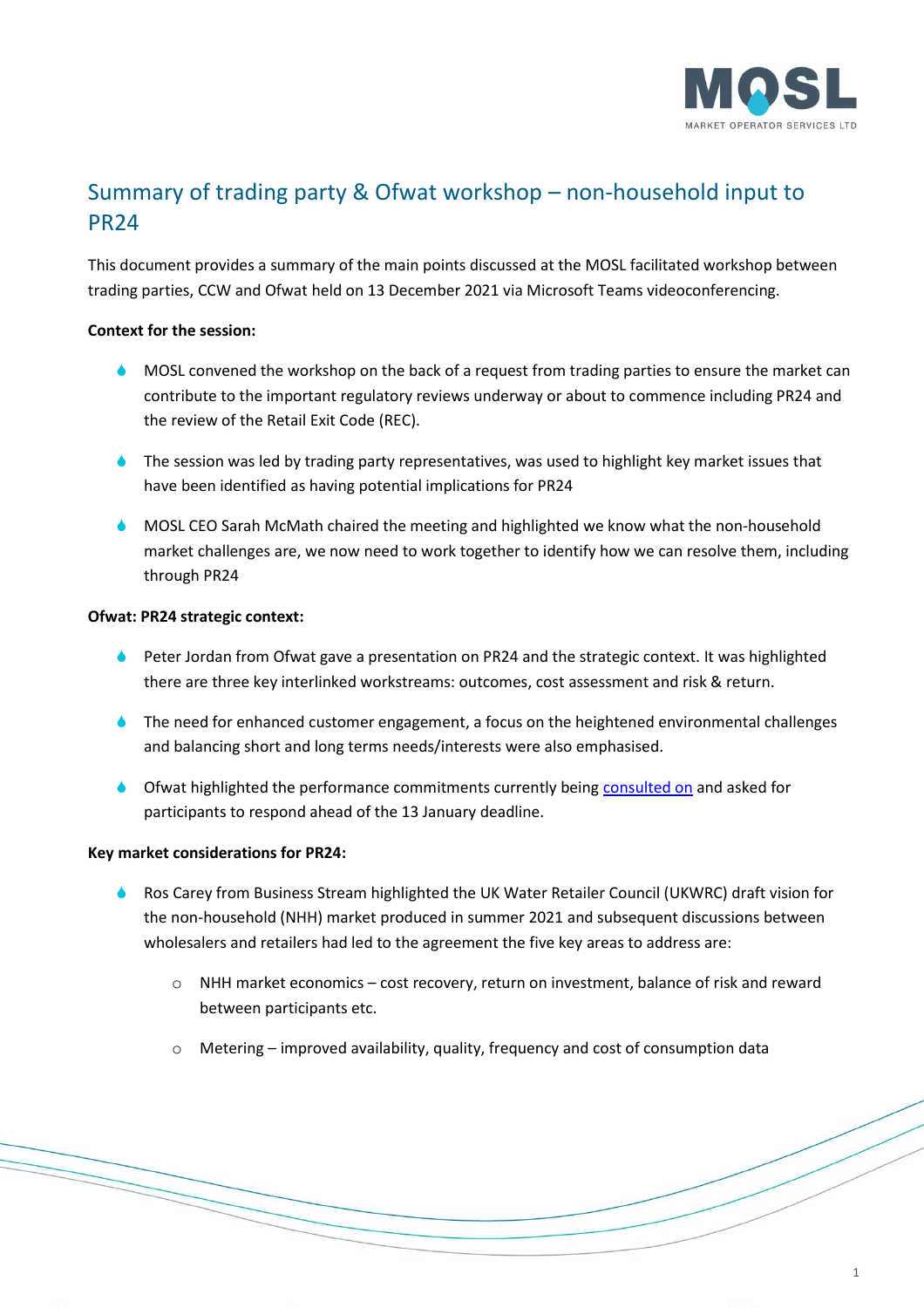

# Summary of trading party & Ofwat workshop – non-household input to PR24

This document provides a summary of the main points discussed at the MOSL facilitated workshop between trading parties, CCW and Ofwat held on 13 December 2021 via Microsoft Teams videoconferencing.

# **Context for the session:**

- **MOSL convened the workshop on the back of a request from trading parties to ensure the market can** contribute to the important regulatory reviews underway or about to commence including PR24 and the review of the Retail Exit Code (REC).
- **The session was led by trading party representatives, was used to highlight key market issues that** have been identified as having potential implications for PR24
- MOSL CEO Sarah McMath chaired the meeting and highlighted we know what the non-household market challenges are, we now need to work together to identify how we can resolve them, including through PR24

# **Ofwat: PR24 strategic context:**

- **Peter Jordan from Ofwat gave a presentation on PR24 and the strategic context. It was highlighted** there are three key interlinked workstreams: outcomes, cost assessment and risk & return.
- **The need for enhanced customer engagement, a focus on the heightened environmental challenges** and balancing short and long terms needs/interests were also emphasised.
- Ofwat highlighted the performance commitments currently being [consulted on](https://www.ofwat.gov.uk/consultation/pr24-and-beyond-performance-commitments-for-future-price-reviews/) and asked for participants to respond ahead of the 13 January deadline.

# **Key market considerations for PR24:**

- Ros Carey from Business Stream highlighted the UK Water Retailer Council (UKWRC) draft vision for the non-household (NHH) market produced in summer 2021 and subsequent discussions between wholesalers and retailers had led to the agreement the five key areas to address are:
	- o NHH market economics cost recovery, return on investment, balance of risk and reward between participants etc.
	- $\circ$  Metering improved availability, quality, frequency and cost of consumption data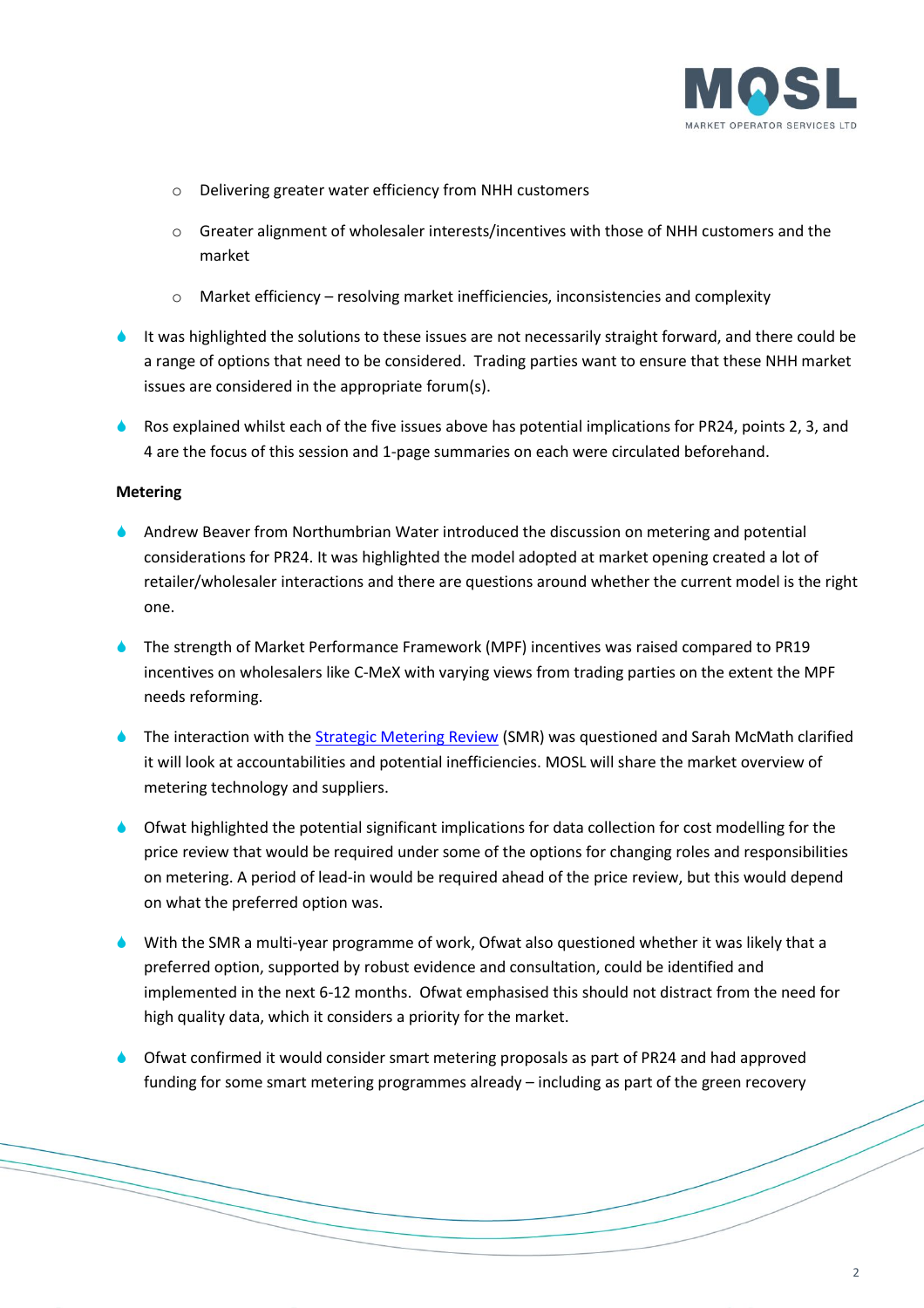

- o Delivering greater water efficiency from NHH customers
- o Greater alignment of wholesaler interests/incentives with those of NHH customers and the market
- o Market efficiency resolving market inefficiencies, inconsistencies and complexity
- It was highlighted the solutions to these issues are not necessarily straight forward, and there could be a range of options that need to be considered. Trading parties want to ensure that these NHH market issues are considered in the appropriate forum(s).
- A Ros explained whilst each of the five issues above has potential implications for PR24, points 2, 3, and 4 are the focus of this session and 1-page summaries on each were circulated beforehand.

### **Metering**

- Andrew Beaver from Northumbrian Water introduced the discussion on metering and potential considerations for PR24. It was highlighted the model adopted at market opening created a lot of retailer/wholesaler interactions and there are questions around whether the current model is the right one.
- The strength of Market Performance Framework (MPF) incentives was raised compared to PR19 incentives on wholesalers like C-MeX with varying views from trading parties on the extent the MPF needs reforming.
- The interaction with the [Strategic Metering Review](https://mosl.co.uk/services/market-improvement/programmes-and-projects/strategic-metering-review) (SMR) was questioned and Sarah McMath clarified it will look at accountabilities and potential inefficiencies. MOSL will share the market overview of metering technology and suppliers.
- Ofwat highlighted the potential significant implications for data collection for cost modelling for the price review that would be required under some of the options for changing roles and responsibilities on metering. A period of lead-in would be required ahead of the price review, but this would depend on what the preferred option was.
- With the SMR a multi-year programme of work, Ofwat also questioned whether it was likely that a preferred option, supported by robust evidence and consultation, could be identified and implemented in the next 6-12 months. Ofwat emphasised this should not distract from the need for high quality data, which it considers a priority for the market.
- Ofwat confirmed it would consider smart metering proposals as part of PR24 and had approved funding for some smart metering programmes already – including as part of the green recovery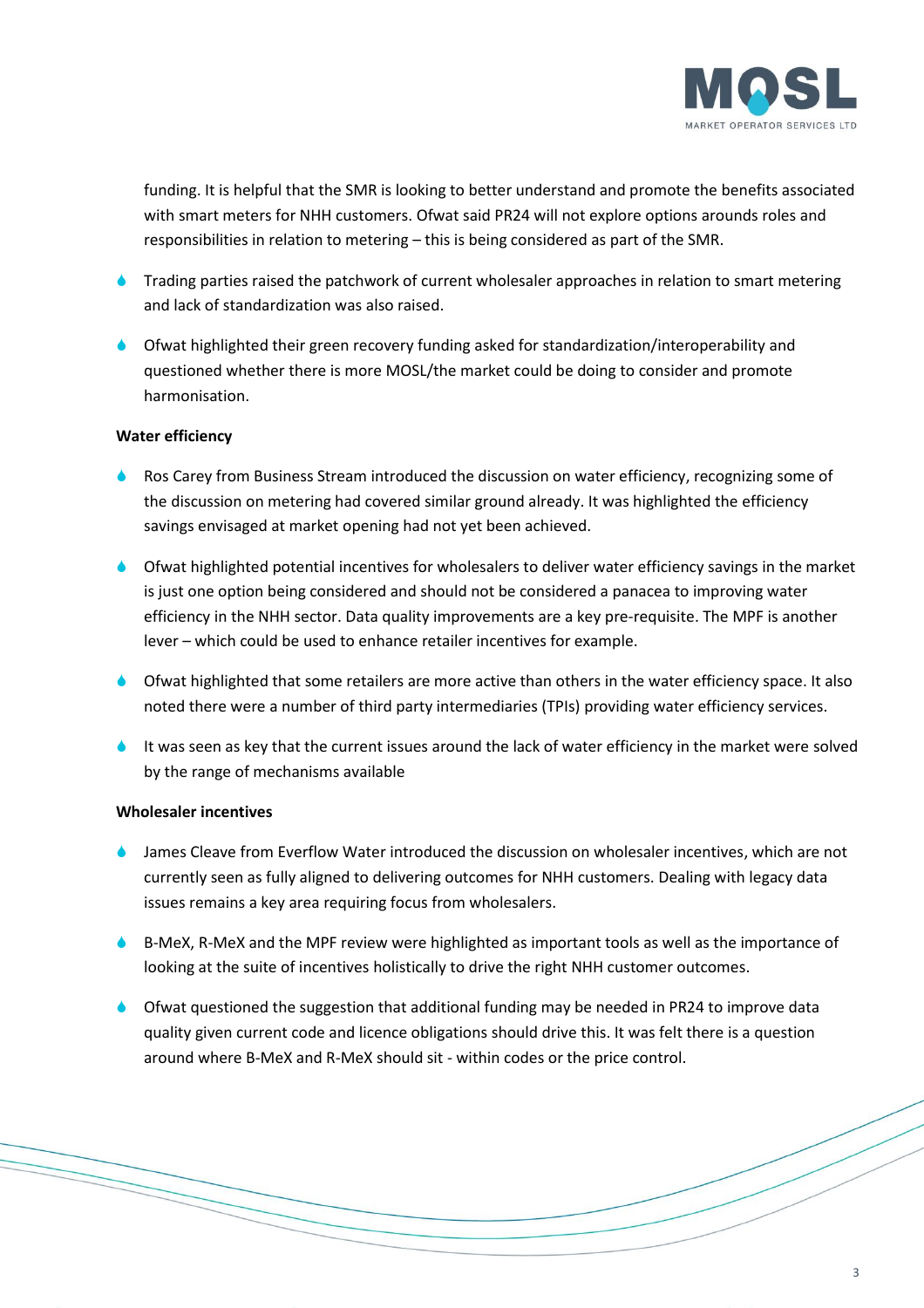

funding. It is helpful that the SMR is looking to better understand and promote the benefits associated with smart meters for NHH customers. Ofwat said PR24 will not explore options arounds roles and responsibilities in relation to metering – this is being considered as part of the SMR.

- **Trading parties raised the patchwork of current wholesaler approaches in relation to smart metering** and lack of standardization was also raised.
- Ofwat highlighted their green recovery funding asked for standardization/interoperability and questioned whether there is more MOSL/the market could be doing to consider and promote harmonisation.

## **Water efficiency**

- Ros Carey from Business Stream introduced the discussion on water efficiency, recognizing some of the discussion on metering had covered similar ground already. It was highlighted the efficiency savings envisaged at market opening had not yet been achieved.
- Ofwat highlighted potential incentives for wholesalers to deliver water efficiency savings in the market is just one option being considered and should not be considered a panacea to improving water efficiency in the NHH sector. Data quality improvements are a key pre-requisite. The MPF is another lever – which could be used to enhance retailer incentives for example.
- Ofwat highlighted that some retailers are more active than others in the water efficiency space. It also noted there were a number of third party intermediaries (TPIs) providing water efficiency services.
- It was seen as key that the current issues around the lack of water efficiency in the market were solved by the range of mechanisms available

## **Wholesaler incentives**

- James Cleave from Everflow Water introduced the discussion on wholesaler incentives, which are not currently seen as fully aligned to delivering outcomes for NHH customers. Dealing with legacy data issues remains a key area requiring focus from wholesalers.
- B-MeX, R-MeX and the MPF review were highlighted as important tools as well as the importance of looking at the suite of incentives holistically to drive the right NHH customer outcomes.
- Ofwat questioned the suggestion that additional funding may be needed in PR24 to improve data quality given current code and licence obligations should drive this. It was felt there is a question around where B-MeX and R-MeX should sit - within codes or the price control.